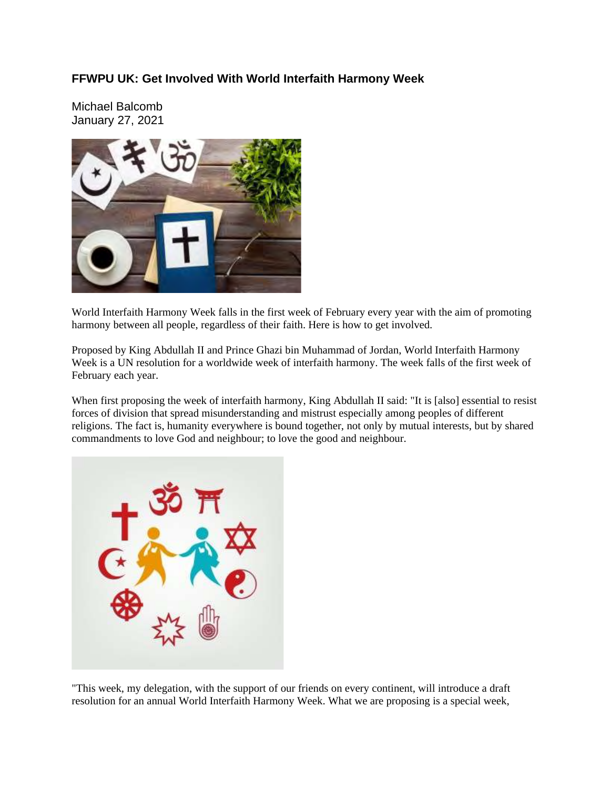## **FFWPU UK: Get Involved With World Interfaith Harmony Week**

Michael Balcomb January 27, 2021



World Interfaith Harmony Week falls in the first week of February every year with the aim of promoting harmony between all people, regardless of their faith. Here is how to get involved.

Proposed by King Abdullah II and Prince Ghazi bin Muhammad of Jordan, World Interfaith Harmony Week is a UN resolution for a worldwide week of interfaith harmony. The week falls of the first week of February each year.

When first proposing the week of interfaith harmony, King Abdullah II said: "It is [also] essential to resist forces of division that spread misunderstanding and mistrust especially among peoples of different religions. The fact is, humanity everywhere is bound together, not only by mutual interests, but by shared commandments to love God and neighbour; to love the good and neighbour.



"This week, my delegation, with the support of our friends on every continent, will introduce a draft resolution for an annual World Interfaith Harmony Week. What we are proposing is a special week,